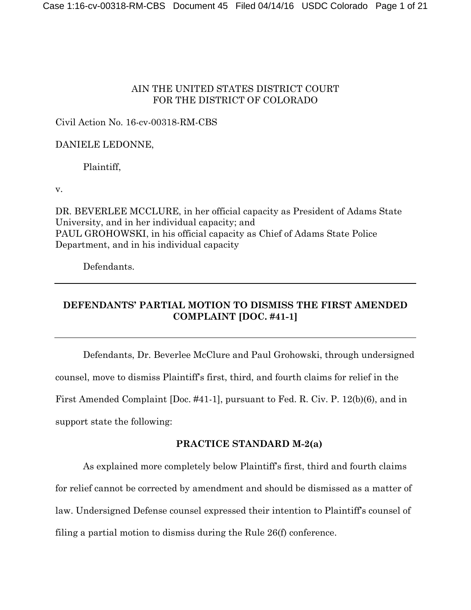# AIN THE UNITED STATES DISTRICT COURT FOR THE DISTRICT OF COLORADO

## Civil Action No. 16-cv-00318-RM-CBS

## DANIELE LEDONNE,

Plaintiff,

v.

DR. BEVERLEE MCCLURE, in her official capacity as President of Adams State University, and in her individual capacity; and PAUL GROHOWSKI, in his official capacity as Chief of Adams State Police Department, and in his individual capacity

Defendants.

# **DEFENDANTS' PARTIAL MOTION TO DISMISS THE FIRST AMENDED COMPLAINT [DOC. #41-1]**

Defendants, Dr. Beverlee McClure and Paul Grohowski, through undersigned counsel, move to dismiss Plaintiff's first, third, and fourth claims for relief in the First Amended Complaint [Doc. #41-1], pursuant to Fed. R. Civ. P. 12(b)(6), and in support state the following:

# **PRACTICE STANDARD M-2(a)**

As explained more completely below Plaintiff's first, third and fourth claims for relief cannot be corrected by amendment and should be dismissed as a matter of law. Undersigned Defense counsel expressed their intention to Plaintiff's counsel of filing a partial motion to dismiss during the Rule 26(f) conference.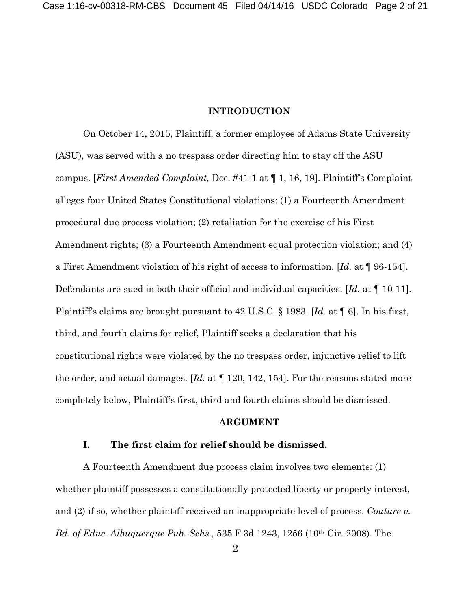#### **INTRODUCTION**

On October 14, 2015, Plaintiff, a former employee of Adams State University (ASU), was served with a no trespass order directing him to stay off the ASU campus. [*First Amended Complaint,* Doc. #41-1 at ¶ 1, 16, 19]. Plaintiff's Complaint alleges four United States Constitutional violations: (1) a Fourteenth Amendment procedural due process violation; (2) retaliation for the exercise of his First Amendment rights; (3) a Fourteenth Amendment equal protection violation; and (4) a First Amendment violation of his right of access to information. [*Id.* at ¶ 96-154]. Defendants are sued in both their official and individual capacities. [*Id.* at ¶ 10-11]. Plaintiff's claims are brought pursuant to 42 U.S.C. § 1983. [*Id.* at ¶ 6]. In his first, third, and fourth claims for relief, Plaintiff seeks a declaration that his constitutional rights were violated by the no trespass order, injunctive relief to lift the order, and actual damages. [*Id.* at ¶ 120, 142, 154]. For the reasons stated more completely below, Plaintiff's first, third and fourth claims should be dismissed.

### **ARGUMENT**

### **I. The first claim for relief should be dismissed.**

A Fourteenth Amendment due process claim involves two elements: (1) whether plaintiff possesses a constitutionally protected liberty or property interest, and (2) if so, whether plaintiff received an inappropriate level of process. *Couture v. Bd. of Educ. Albuquerque Pub. Schs.,* 535 F.3d 1243, 1256 (10th Cir. 2008). The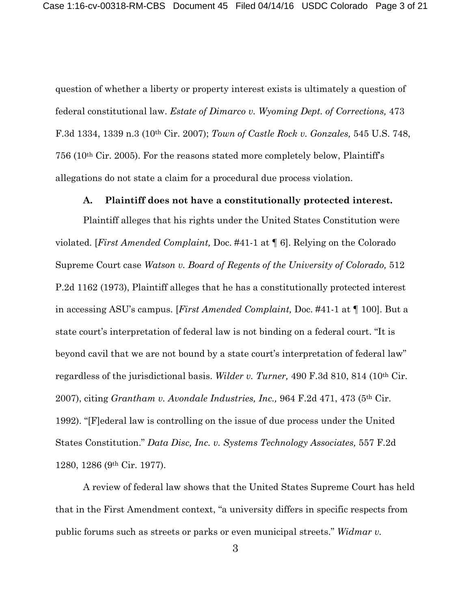question of whether a liberty or property interest exists is ultimately a question of federal constitutional law. *Estate of Dimarco v. Wyoming Dept. of Corrections,* 473 F.3d 1334, 1339 n.3 (10th Cir. 2007); *Town of Castle Rock v. Gonzales,* 545 U.S. 748, 756 (10th Cir. 2005). For the reasons stated more completely below, Plaintiff's allegations do not state a claim for a procedural due process violation.

#### **A. Plaintiff does not have a constitutionally protected interest.**

Plaintiff alleges that his rights under the United States Constitution were violated. [*First Amended Complaint,* Doc. #41-1 at ¶ 6]. Relying on the Colorado Supreme Court case *Watson v. Board of Regents of the University of Colorado,* 512 P.2d 1162 (1973), Plaintiff alleges that he has a constitutionally protected interest in accessing ASU's campus. [*First Amended Complaint,* Doc. #41-1 at ¶ 100]. But a state court's interpretation of federal law is not binding on a federal court. "It is beyond cavil that we are not bound by a state court's interpretation of federal law" regardless of the jurisdictional basis. *Wilder v. Turner,* 490 F.3d 810, 814 (10th Cir. 2007), citing *Grantham v. Avondale Industries, Inc.,* 964 F.2d 471, 473 (5th Cir. 1992). "[F]ederal law is controlling on the issue of due process under the United States Constitution." *Data Disc, Inc. v. Systems Technology Associates,* 557 F.2d 1280, 1286 (9th Cir. 1977).

A review of federal law shows that the United States Supreme Court has held that in the First Amendment context, "a university differs in specific respects from public forums such as streets or parks or even municipal streets." *Widmar v.*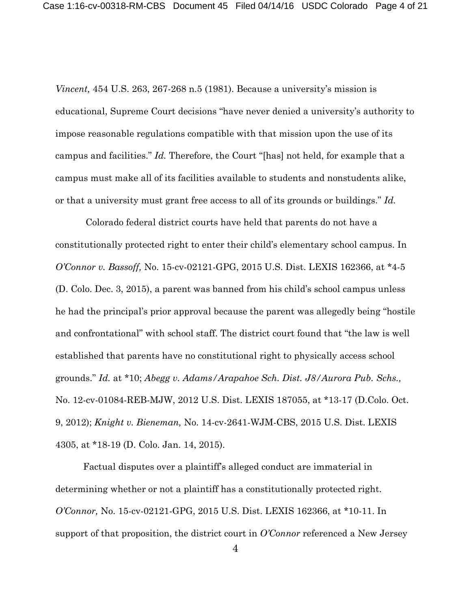*Vincent,* 454 U.S. 263, 267-268 n.5 (1981). Because a university's mission is educational, Supreme Court decisions "have never denied a university's authority to impose reasonable regulations compatible with that mission upon the use of its campus and facilities." *Id.* Therefore, the Court "[has] not held, for example that a campus must make all of its facilities available to students and nonstudents alike, or that a university must grant free access to all of its grounds or buildings." *Id.*

Colorado federal district courts have held that parents do not have a constitutionally protected right to enter their child's elementary school campus. In *O'Connor v. Bassoff,* No. 15-cv-02121-GPG, 2015 U.S. Dist. LEXIS 162366, at \*4-5 (D. Colo. Dec. 3, 2015), a parent was banned from his child's school campus unless he had the principal's prior approval because the parent was allegedly being "hostile and confrontational" with school staff. The district court found that "the law is well established that parents have no constitutional right to physically access school grounds." *Id.* at \*10; *Abegg v. Adams/Arapahoe Sch. Dist. J8/Aurora Pub. Schs.,* No. 12-cv-01084-REB-MJW, 2012 U.S. Dist. LEXIS 187055, at \*13-17 (D.Colo. Oct. 9, 2012); *Knight v. Bieneman,* No. 14-cv-2641-WJM-CBS, 2015 U.S. Dist. LEXIS 4305, at \*18-19 (D. Colo. Jan. 14, 2015).

Factual disputes over a plaintiff's alleged conduct are immaterial in determining whether or not a plaintiff has a constitutionally protected right. *O'Connor,* No. 15-cv-02121-GPG, 2015 U.S. Dist. LEXIS 162366, at \*10-11. In support of that proposition, the district court in *O'Connor* referenced a New Jersey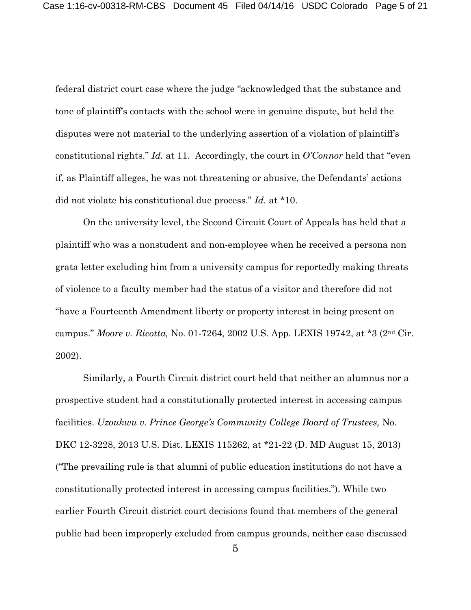federal district court case where the judge "acknowledged that the substance and tone of plaintiff's contacts with the school were in genuine dispute, but held the disputes were not material to the underlying assertion of a violation of plaintiff's constitutional rights." *Id.* at 11. Accordingly, the court in *O'Connor* held that "even if, as Plaintiff alleges, he was not threatening or abusive, the Defendants' actions did not violate his constitutional due process." *Id.* at \*10.

On the university level, the Second Circuit Court of Appeals has held that a plaintiff who was a nonstudent and non-employee when he received a persona non grata letter excluding him from a university campus for reportedly making threats of violence to a faculty member had the status of a visitor and therefore did not "have a Fourteenth Amendment liberty or property interest in being present on campus." *Moore v. Ricotta,* No. 01-7264, 2002 U.S. App. LEXIS 19742, at \*3 (2nd Cir. 2002).

Similarly, a Fourth Circuit district court held that neither an alumnus nor a prospective student had a constitutionally protected interest in accessing campus facilities. *Uzoukwu v. Prince George's Community College Board of Trustees,* No. DKC 12-3228, 2013 U.S. Dist. LEXIS 115262, at \*21-22 (D. MD August 15, 2013) ("The prevailing rule is that alumni of public education institutions do not have a constitutionally protected interest in accessing campus facilities."). While two earlier Fourth Circuit district court decisions found that members of the general public had been improperly excluded from campus grounds, neither case discussed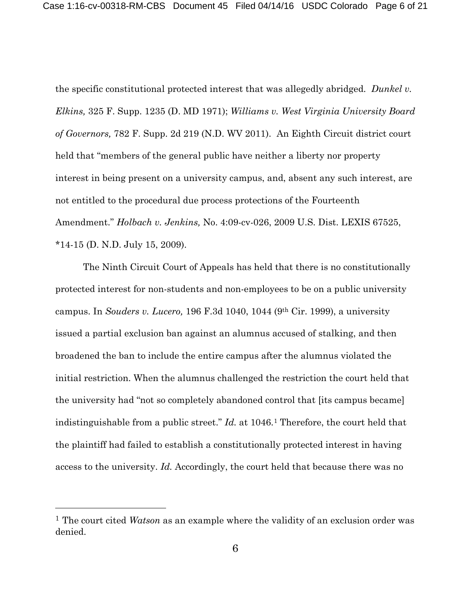the specific constitutional protected interest that was allegedly abridged. *Dunkel v. Elkins,* 325 F. Supp. 1235 (D. MD 1971); *Williams v. West Virginia University Board of Governors,* 782 F. Supp. 2d 219 (N.D. WV 2011). An Eighth Circuit district court held that "members of the general public have neither a liberty nor property interest in being present on a university campus, and, absent any such interest, are not entitled to the procedural due process protections of the Fourteenth Amendment." *Holbach v. Jenkins,* No. 4:09-cv-026, 2009 U.S. Dist. LEXIS 67525, \*14-15 (D. N.D. July 15, 2009).

The Ninth Circuit Court of Appeals has held that there is no constitutionally protected interest for non-students and non-employees to be on a public university campus. In *Souders v. Lucero,* 196 F.3d 1040, 1044 (9th Cir. 1999), a university issued a partial exclusion ban against an alumnus accused of stalking, and then broadened the ban to include the entire campus after the alumnus violated the initial restriction. When the alumnus challenged the restriction the court held that the university had "not so completely abandoned control that [its campus became] indistinguishable from a public street." *Id.* at 1046.[1](#page-5-0) Therefore, the court held that the plaintiff had failed to establish a constitutionally protected interest in having access to the university. *Id.* Accordingly, the court held that because there was no

 $\overline{a}$ 

<span id="page-5-0"></span><sup>1</sup> The court cited *Watson* as an example where the validity of an exclusion order was denied.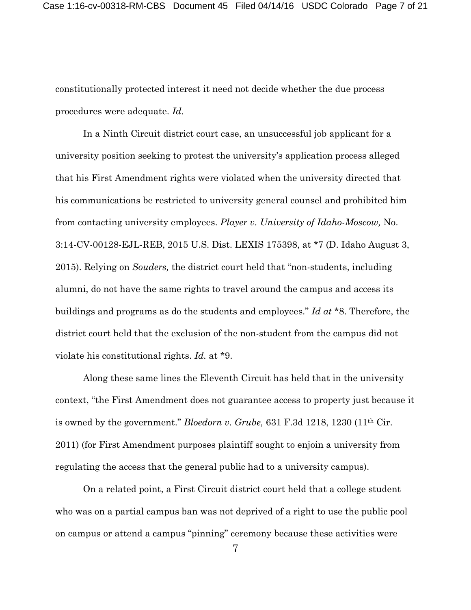constitutionally protected interest it need not decide whether the due process procedures were adequate. *Id.*

In a Ninth Circuit district court case, an unsuccessful job applicant for a university position seeking to protest the university's application process alleged that his First Amendment rights were violated when the university directed that his communications be restricted to university general counsel and prohibited him from contacting university employees. *Player v. University of Idaho-Moscow,* No. 3:14-CV-00128-EJL-REB, 2015 U.S. Dist. LEXIS 175398, at \*7 (D. Idaho August 3, 2015). Relying on *Souders,* the district court held that "non-students, including alumni, do not have the same rights to travel around the campus and access its buildings and programs as do the students and employees." *Id at* \*8. Therefore, the district court held that the exclusion of the non-student from the campus did not violate his constitutional rights. *Id.* at \*9.

Along these same lines the Eleventh Circuit has held that in the university context, "the First Amendment does not guarantee access to property just because it is owned by the government." *Bloedorn v. Grube,* 631 F.3d 1218, 1230 (11th Cir. 2011) (for First Amendment purposes plaintiff sought to enjoin a university from regulating the access that the general public had to a university campus).

On a related point, a First Circuit district court held that a college student who was on a partial campus ban was not deprived of a right to use the public pool on campus or attend a campus "pinning" ceremony because these activities were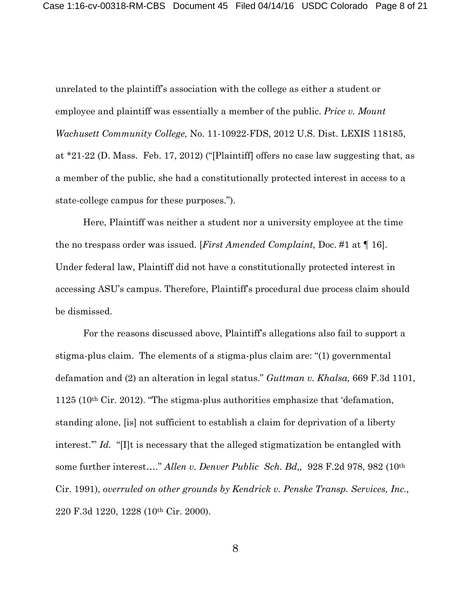unrelated to the plaintiff's association with the college as either a student or employee and plaintiff was essentially a member of the public. *Price v. Mount Wachusett Community College,* No. 11-10922-FDS, 2012 U.S. Dist. LEXIS 118185, at \*21-22 (D. Mass. Feb. 17, 2012) ("[Plaintiff] offers no case law suggesting that, as a member of the public, she had a constitutionally protected interest in access to a state-college campus for these purposes.").

Here, Plaintiff was neither a student nor a university employee at the time the no trespass order was issued. [*First Amended Complaint,* Doc. #1 at ¶ 16]. Under federal law, Plaintiff did not have a constitutionally protected interest in accessing ASU's campus. Therefore, Plaintiff's procedural due process claim should be dismissed.

For the reasons discussed above, Plaintiff's allegations also fail to support a stigma-plus claim. The elements of a stigma-plus claim are: "(1) governmental defamation and (2) an alteration in legal status." *Guttman v. Khalsa,* 669 F.3d 1101,  $1125$  (10<sup>th</sup> Cir. 2012). "The stigma-plus authorities emphasize that 'defamation, standing alone, [is] not sufficient to establish a claim for deprivation of a liberty interest." *Id.* "[I]t is necessary that the alleged stigmatization be entangled with some further interest…." *Allen v. Denver Public Sch. Bd,,* 928 F.2d 978, 982 (10th Cir. 1991), *overruled on other grounds by Kendrick v. Penske Transp. Services, Inc.,* 220 F.3d 1220, 1228 (10th Cir. 2000).

8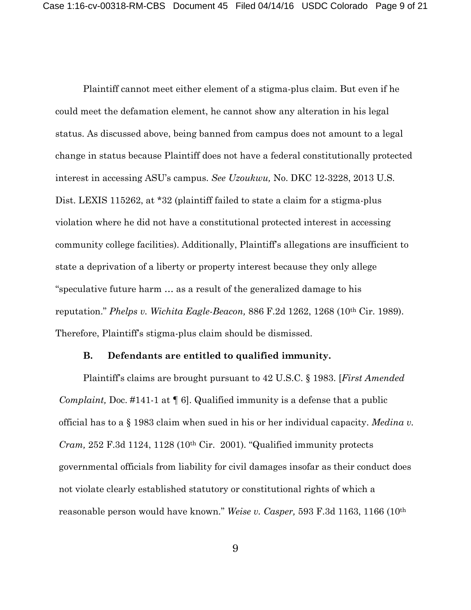Plaintiff cannot meet either element of a stigma-plus claim. But even if he could meet the defamation element, he cannot show any alteration in his legal status. As discussed above, being banned from campus does not amount to a legal change in status because Plaintiff does not have a federal constitutionally protected interest in accessing ASU's campus. *See Uzoukwu,* No. DKC 12-3228, 2013 U.S. Dist. LEXIS 115262, at \*32 (plaintiff failed to state a claim for a stigma-plus violation where he did not have a constitutional protected interest in accessing community college facilities). Additionally, Plaintiff's allegations are insufficient to state a deprivation of a liberty or property interest because they only allege "speculative future harm … as a result of the generalized damage to his reputation." *Phelps v. Wichita Eagle-Beacon,* 886 F.2d 1262, 1268 (10th Cir. 1989). Therefore, Plaintiff's stigma-plus claim should be dismissed.

### **B. Defendants are entitled to qualified immunity.**

Plaintiff's claims are brought pursuant to 42 U.S.C. § 1983. [*First Amended Complaint,* Doc. #141-1 at ¶ 6]. Qualified immunity is a defense that a public official has to a § 1983 claim when sued in his or her individual capacity. *Medina v. Cram,* 252 F.3d 1124, 1128 (10th Cir. 2001). "Qualified immunity protects governmental officials from liability for civil damages insofar as their conduct does not violate clearly established statutory or constitutional rights of which a reasonable person would have known." *Weise v. Casper,* 593 F.3d 1163, 1166 (10th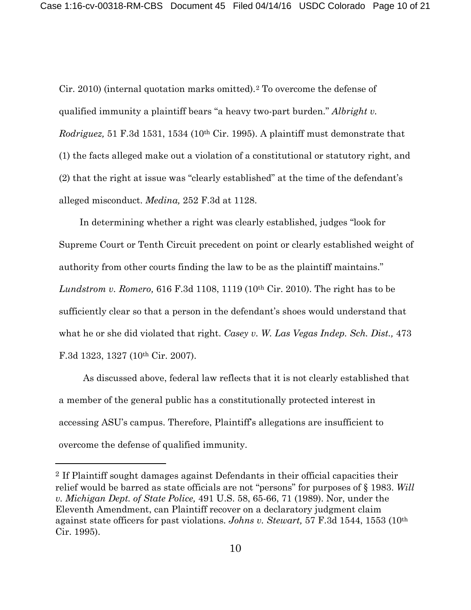Cir. 2010) (internal quotation marks omitted).[2](#page-9-0) To overcome the defense of qualified immunity a plaintiff bears "a heavy two-part burden." *Albright v. Rodriguez,* 51 F.3d 1531, 1534 (10th Cir. 1995). A plaintiff must demonstrate that (1) the facts alleged make out a violation of a constitutional or statutory right, and (2) that the right at issue was "clearly established" at the time of the defendant's alleged misconduct. *Medina,* 252 F.3d at 1128.

In determining whether a right was clearly established, judges "look for Supreme Court or Tenth Circuit precedent on point or clearly established weight of authority from other courts finding the law to be as the plaintiff maintains." *Lundstrom v. Romero,* 616 F.3d 1108, 1119 (10th Cir. 2010). The right has to be sufficiently clear so that a person in the defendant's shoes would understand that what he or she did violated that right. *Casey v. W. Las Vegas Indep. Sch. Dist.,* 473 F.3d 1323, 1327 (10th Cir. 2007).

As discussed above, federal law reflects that it is not clearly established that a member of the general public has a constitutionally protected interest in accessing ASU's campus. Therefore, Plaintiff's allegations are insufficient to overcome the defense of qualified immunity.

 $\overline{a}$ 

<span id="page-9-0"></span><sup>2</sup> If Plaintiff sought damages against Defendants in their official capacities their relief would be barred as state officials are not "persons" for purposes of § 1983. *Will v. Michigan Dept. of State Police,* 491 U.S. 58, 65-66, 71 (1989). Nor, under the Eleventh Amendment, can Plaintiff recover on a declaratory judgment claim against state officers for past violations. *Johns v. Stewart,* 57 F.3d 1544, 1553 (10th Cir. 1995).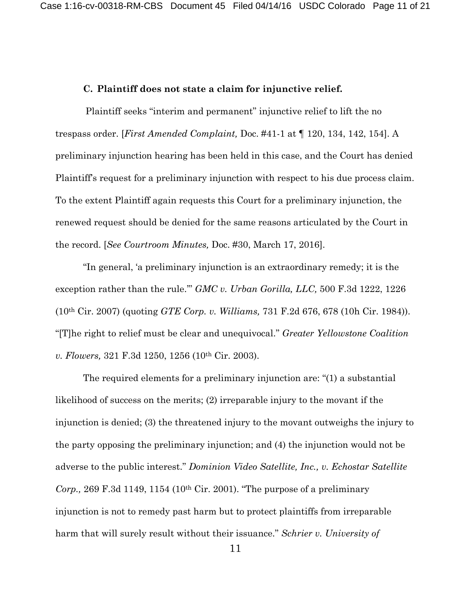### **C. Plaintiff does not state a claim for injunctive relief.**

Plaintiff seeks "interim and permanent" injunctive relief to lift the no trespass order. [*First Amended Complaint,* Doc. #41-1 at ¶ 120, 134, 142, 154]. A preliminary injunction hearing has been held in this case, and the Court has denied Plaintiff's request for a preliminary injunction with respect to his due process claim. To the extent Plaintiff again requests this Court for a preliminary injunction, the renewed request should be denied for the same reasons articulated by the Court in the record. [*See Courtroom Minutes,* Doc. #30, March 17, 2016].

"In general, 'a preliminary injunction is an extraordinary remedy; it is the exception rather than the rule.'" *GMC v. Urban Gorilla, LLC,* 500 F.3d 1222, 1226 (10th Cir. 2007) (quoting *GTE Corp. v. Williams,* 731 F.2d 676, 678 (10h Cir. 1984)). "[T]he right to relief must be clear and unequivocal." *Greater Yellowstone Coalition v. Flowers,* 321 F.3d 1250, 1256 (10th Cir. 2003).

The required elements for a preliminary injunction are: "(1) a substantial likelihood of success on the merits; (2) irreparable injury to the movant if the injunction is denied; (3) the threatened injury to the movant outweighs the injury to the party opposing the preliminary injunction; and (4) the injunction would not be adverse to the public interest." *Dominion Video Satellite, Inc., v. Echostar Satellite Corp.,* 269 F.3d 1149, 1154 (10th Cir. 2001). "The purpose of a preliminary injunction is not to remedy past harm but to protect plaintiffs from irreparable harm that will surely result without their issuance." *Schrier v. University of*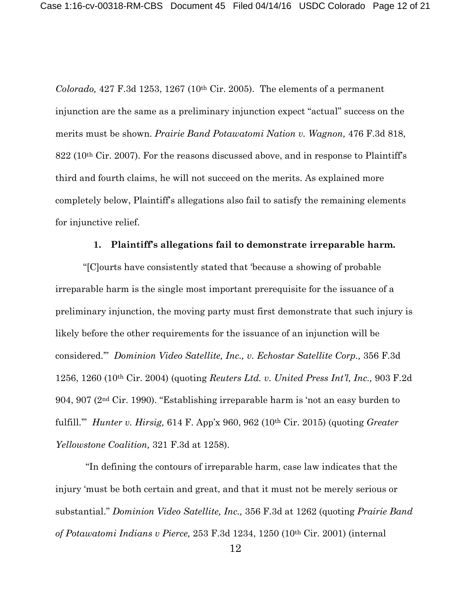*Colorado,* 427 F.3d 1253, 1267 (10th Cir. 2005). The elements of a permanent injunction are the same as a preliminary injunction expect "actual" success on the merits must be shown. *Prairie Band Potawatomi Nation v. Wagnon,* 476 F.3d 818, 822 (10th Cir. 2007). For the reasons discussed above, and in response to Plaintiff's third and fourth claims, he will not succeed on the merits. As explained more completely below, Plaintiff's allegations also fail to satisfy the remaining elements for injunctive relief.

#### **1. Plaintiff's allegations fail to demonstrate irreparable harm.**

"[C]ourts have consistently stated that 'because a showing of probable irreparable harm is the single most important prerequisite for the issuance of a preliminary injunction, the moving party must first demonstrate that such injury is likely before the other requirements for the issuance of an injunction will be considered.'" *Dominion Video Satellite, Inc., v. Echostar Satellite Corp.,* 356 F.3d 1256, 1260 (10th Cir. 2004) (quoting *Reuters Ltd. v. United Press Int'l, Inc.,* 903 F.2d 904, 907 (2nd Cir. 1990). "Establishing irreparable harm is 'not an easy burden to fulfill.'" *Hunter v. Hirsig,* 614 F. App'x 960, 962 (10th Cir. 2015) (quoting *Greater Yellowstone Coalition,* 321 F.3d at 1258).

"In defining the contours of irreparable harm, case law indicates that the injury 'must be both certain and great, and that it must not be merely serious or substantial." *Dominion Video Satellite, Inc.,* 356 F.3d at 1262 (quoting *Prairie Band of Potawatomi Indians v Pierce,* 253 F.3d 1234, 1250 (10th Cir. 2001) (internal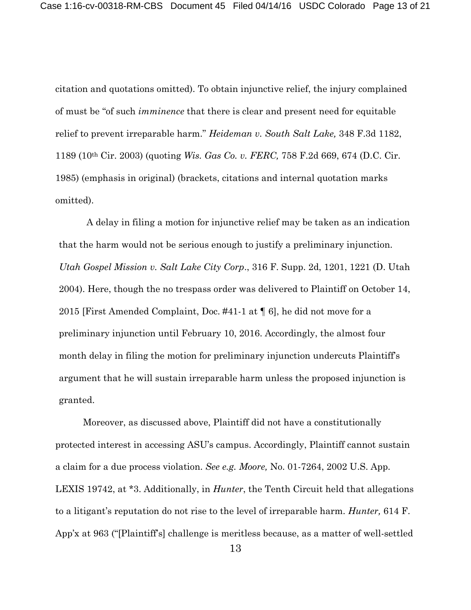citation and quotations omitted). To obtain injunctive relief, the injury complained of must be "of such *imminence* that there is clear and present need for equitable relief to prevent irreparable harm." *Heideman v. South Salt Lake,* 348 F.3d 1182, 1189 (10th Cir. 2003) (quoting *Wis. Gas Co. v. FERC,* 758 F.2d 669, 674 (D.C. Cir. 1985) (emphasis in original) (brackets, citations and internal quotation marks omitted).

A delay in filing a motion for injunctive relief may be taken as an indication that the harm would not be serious enough to justify a preliminary injunction. *Utah Gospel Mission v. Salt Lake City Corp*., 316 F. Supp. 2d, 1201, 1221 (D. Utah 2004). Here, though the no trespass order was delivered to Plaintiff on October 14, 2015 [First Amended Complaint, Doc. #41-1 at ¶ 6], he did not move for a preliminary injunction until February 10, 2016. Accordingly, the almost four month delay in filing the motion for preliminary injunction undercuts Plaintiff's argument that he will sustain irreparable harm unless the proposed injunction is granted.

Moreover, as discussed above, Plaintiff did not have a constitutionally protected interest in accessing ASU's campus. Accordingly, Plaintiff cannot sustain a claim for a due process violation. *See e.g. Moore,* No. 01-7264, 2002 U.S. App. LEXIS 19742, at \*3. Additionally, in *Hunter*, the Tenth Circuit held that allegations to a litigant's reputation do not rise to the level of irreparable harm. *Hunter,* 614 F. App'x at 963 ("[Plaintiff's] challenge is meritless because, as a matter of well-settled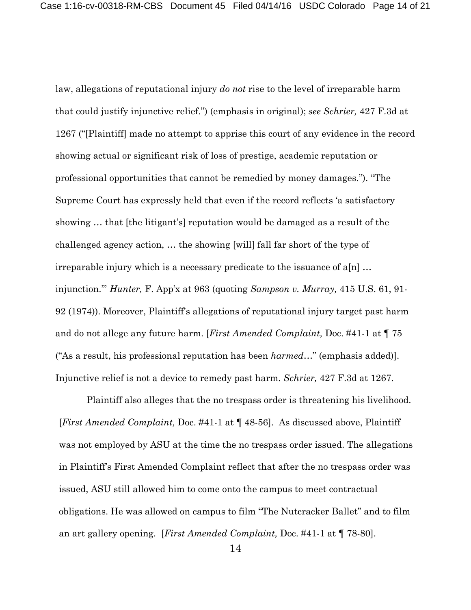law, allegations of reputational injury *do not* rise to the level of irreparable harm that could justify injunctive relief.") (emphasis in original); *see Schrier,* 427 F.3d at 1267 ("[Plaintiff] made no attempt to apprise this court of any evidence in the record showing actual or significant risk of loss of prestige, academic reputation or professional opportunities that cannot be remedied by money damages."). "The Supreme Court has expressly held that even if the record reflects 'a satisfactory showing … that [the litigant's] reputation would be damaged as a result of the challenged agency action, … the showing [will] fall far short of the type of irreparable injury which is a necessary predicate to the issuance of  $a[n]$ ... injunction.'" *Hunter,* F. App'x at 963 (quoting *Sampson v. Murray,* 415 U.S. 61, 91- 92 (1974)). Moreover, Plaintiff's allegations of reputational injury target past harm and do not allege any future harm. [*First Amended Complaint,* Doc. #41-1 at ¶ 75 ("As a result, his professional reputation has been *harmed*…" (emphasis added)]. Injunctive relief is not a device to remedy past harm. *Schrier,* 427 F.3d at 1267.

Plaintiff also alleges that the no trespass order is threatening his livelihood. [*First Amended Complaint,* Doc. #41-1 at ¶ 48-56]. As discussed above, Plaintiff was not employed by ASU at the time the no trespass order issued. The allegations in Plaintiff's First Amended Complaint reflect that after the no trespass order was issued, ASU still allowed him to come onto the campus to meet contractual obligations. He was allowed on campus to film "The Nutcracker Ballet" and to film an art gallery opening. [*First Amended Complaint,* Doc. #41-1 at ¶ 78-80].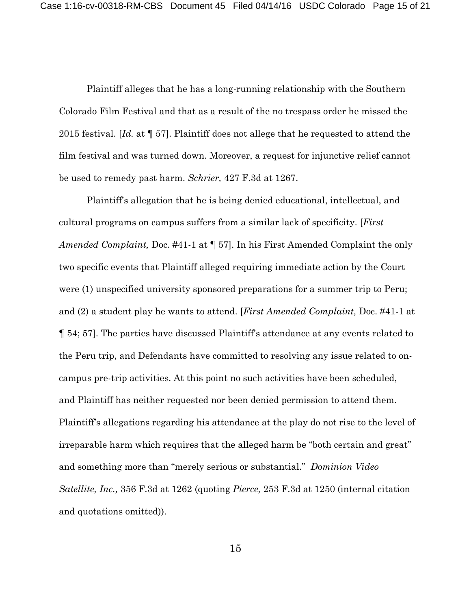Plaintiff alleges that he has a long-running relationship with the Southern Colorado Film Festival and that as a result of the no trespass order he missed the 2015 festival. [*Id.* at ¶ 57]. Plaintiff does not allege that he requested to attend the film festival and was turned down. Moreover, a request for injunctive relief cannot be used to remedy past harm. *Schrier,* 427 F.3d at 1267.

Plaintiff's allegation that he is being denied educational, intellectual, and cultural programs on campus suffers from a similar lack of specificity. [*First Amended Complaint,* Doc. #41-1 at ¶ 57]. In his First Amended Complaint the only two specific events that Plaintiff alleged requiring immediate action by the Court were (1) unspecified university sponsored preparations for a summer trip to Peru; and (2) a student play he wants to attend. [*First Amended Complaint,* Doc. #41-1 at ¶ 54; 57]. The parties have discussed Plaintiff's attendance at any events related to the Peru trip, and Defendants have committed to resolving any issue related to oncampus pre-trip activities. At this point no such activities have been scheduled, and Plaintiff has neither requested nor been denied permission to attend them. Plaintiff's allegations regarding his attendance at the play do not rise to the level of irreparable harm which requires that the alleged harm be "both certain and great" and something more than "merely serious or substantial." *Dominion Video Satellite, Inc.,* 356 F.3d at 1262 (quoting *Pierce,* 253 F.3d at 1250 (internal citation and quotations omitted)).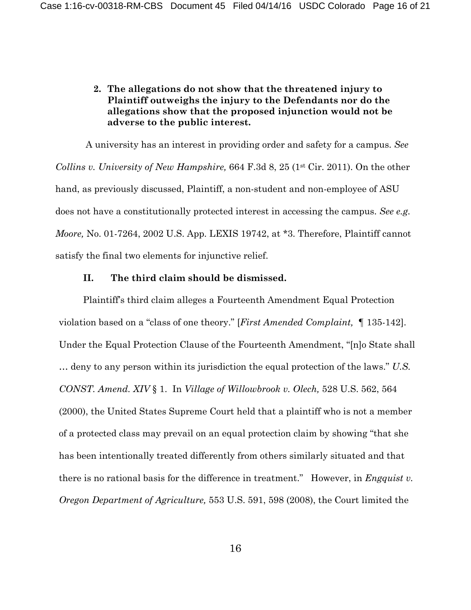# **2. The allegations do not show that the threatened injury to Plaintiff outweighs the injury to the Defendants nor do the allegations show that the proposed injunction would not be adverse to the public interest.**

A university has an interest in providing order and safety for a campus. *See Collins v. University of New Hampshire,* 664 F.3d 8, 25 (1<sup>st</sup> Cir. 2011). On the other hand, as previously discussed, Plaintiff, a non-student and non-employee of ASU does not have a constitutionally protected interest in accessing the campus. *See e.g. Moore,* No. 01-7264, 2002 U.S. App. LEXIS 19742, at \*3. Therefore, Plaintiff cannot satisfy the final two elements for injunctive relief.

### **II. The third claim should be dismissed.**

Plaintiff's third claim alleges a Fourteenth Amendment Equal Protection violation based on a "class of one theory." [*First Amended Complaint,* ¶ 135-142]. Under the Equal Protection Clause of the Fourteenth Amendment, "[n]o State shall … deny to any person within its jurisdiction the equal protection of the laws." *U.S. CONST. Amend. XIV* § 1. In *Village of Willowbrook v. Olech,* 528 U.S. 562, 564 (2000), the United States Supreme Court held that a plaintiff who is not a member of a protected class may prevail on an equal protection claim by showing "that she has been intentionally treated differently from others similarly situated and that there is no rational basis for the difference in treatment." However, in *Engquist v. Oregon Department of Agriculture,* 553 U.S. 591, 598 (2008), the Court limited the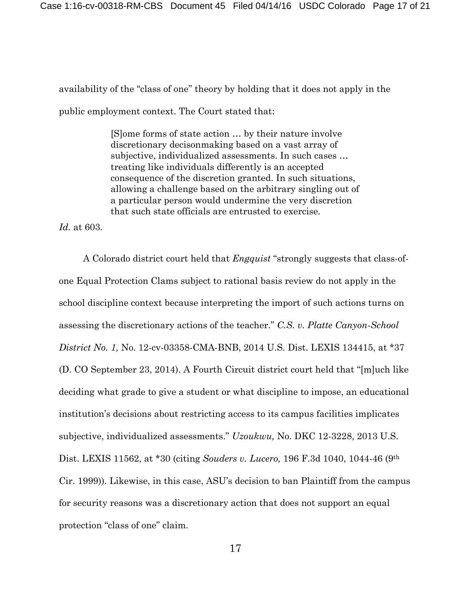availability of the "class of one" theory by holding that it does not apply in the public employment context. The Court stated that:

> [S]ome forms of state action … by their nature involve discretionary decisonmaking based on a vast array of subjective, individualized assessments. In such cases … treating like individuals differently is an accepted consequence of the discretion granted. In such situations, allowing a challenge based on the arbitrary singling out of a particular person would undermine the very discretion that such state officials are entrusted to exercise.

*Id.* at 603.

A Colorado district court held that *Engquist* "strongly suggests that class-ofone Equal Protection Clams subject to rational basis review do not apply in the school discipline context because interpreting the import of such actions turns on assessing the discretionary actions of the teacher." *C.S. v. Platte Canyon-School District No. 1,* No. 12-cv-03358-CMA-BNB, 2014 U.S. Dist. LEXIS 134415, at \*37 (D. CO September 23, 2014). A Fourth Circuit district court held that "[m]uch like deciding what grade to give a student or what discipline to impose, an educational institution's decisions about restricting access to its campus facilities implicates subjective, individualized assessments." *Uzoukwu,* No. DKC 12-3228, 2013 U.S. Dist. LEXIS 11562, at \*30 (citing *Souders v. Lucero,* 196 F.3d 1040, 1044-46 (9th Cir. 1999)). Likewise, in this case, ASU's decision to ban Plaintiff from the campus for security reasons was a discretionary action that does not support an equal protection "class of one" claim.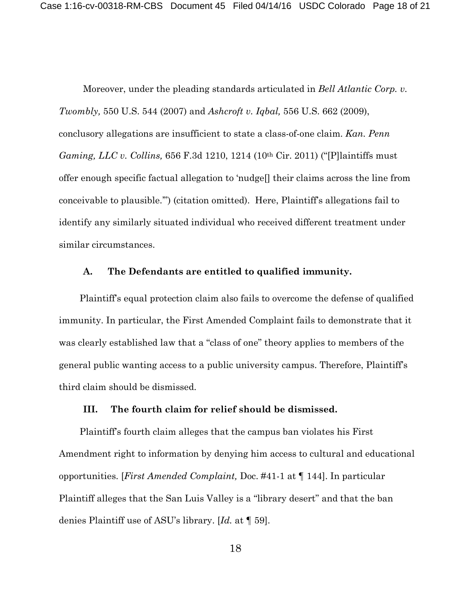Moreover, under the pleading standards articulated in *Bell Atlantic Corp. v. Twombly,* 550 U.S. 544 (2007) and *Ashcroft v. Iqbal,* 556 U.S. 662 (2009), conclusory allegations are insufficient to state a class-of-one claim. *Kan. Penn Gaming, LLC v. Collins,* 656 F.3d 1210, 1214 (10th Cir. 2011) ("[P]laintiffs must offer enough specific factual allegation to 'nudge[] their claims across the line from conceivable to plausible.'") (citation omitted). Here, Plaintiff's allegations fail to identify any similarly situated individual who received different treatment under similar circumstances.

#### **A. The Defendants are entitled to qualified immunity.**

Plaintiff's equal protection claim also fails to overcome the defense of qualified immunity. In particular, the First Amended Complaint fails to demonstrate that it was clearly established law that a "class of one" theory applies to members of the general public wanting access to a public university campus. Therefore, Plaintiff's third claim should be dismissed.

### **III. The fourth claim for relief should be dismissed.**

Plaintiff's fourth claim alleges that the campus ban violates his First Amendment right to information by denying him access to cultural and educational opportunities. [*First Amended Complaint,* Doc. #41-1 at ¶ 144]. In particular Plaintiff alleges that the San Luis Valley is a "library desert" and that the ban denies Plaintiff use of ASU's library. [*Id.* at ¶ 59].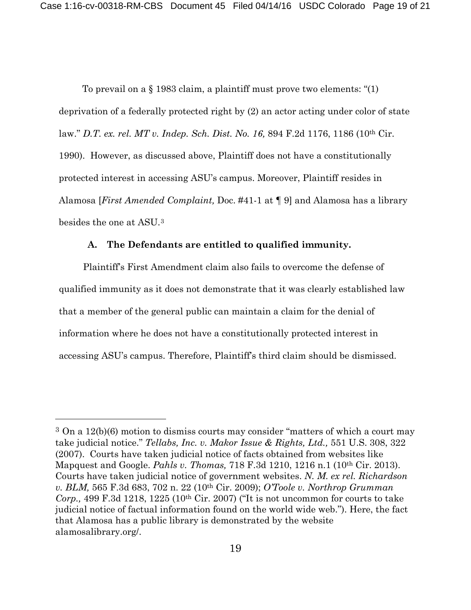To prevail on a § 1983 claim, a plaintiff must prove two elements: "(1) deprivation of a federally protected right by (2) an actor acting under color of state law." *D.T. ex. rel. MT v. Indep. Sch. Dist. No. 16,* 894 F.2d 1176, 1186 (10th Cir. 1990). However, as discussed above, Plaintiff does not have a constitutionally protected interest in accessing ASU's campus. Moreover, Plaintiff resides in Alamosa [*First Amended Complaint,* Doc. #41-1 at ¶ 9] and Alamosa has a library besides the one at ASU.[3](#page-18-0)

### **A. The Defendants are entitled to qualified immunity.**

Plaintiff's First Amendment claim also fails to overcome the defense of qualified immunity as it does not demonstrate that it was clearly established law that a member of the general public can maintain a claim for the denial of information where he does not have a constitutionally protected interest in accessing ASU's campus. Therefore, Plaintiff's third claim should be dismissed.

 $\overline{a}$ 

<span id="page-18-0"></span> $3$  On a 12(b)(6) motion to dismiss courts may consider "matters of which a court may take judicial notice." *Tellabs, Inc. v. Makor Issue & Rights, Ltd.,* 551 U.S. 308, 322 (2007). Courts have taken judicial notice of facts obtained from websites like Mapquest and Google. *Pahls v. Thomas,* 718 F.3d 1210, 1216 n.1 (10th Cir. 2013). Courts have taken judicial notice of government websites. *N. M. ex rel. Richardson v. BLM,* 565 F.3d 683, 702 n. 22 (10th Cir. 2009); *O'Toole v. Northrop Grumman Corp.,* 499 F.3d 1218, 1225 (10th Cir. 2007) ("It is not uncommon for courts to take judicial notice of factual information found on the world wide web."). Here, the fact that Alamosa has a public library is demonstrated by the website alamosalibrary.org/.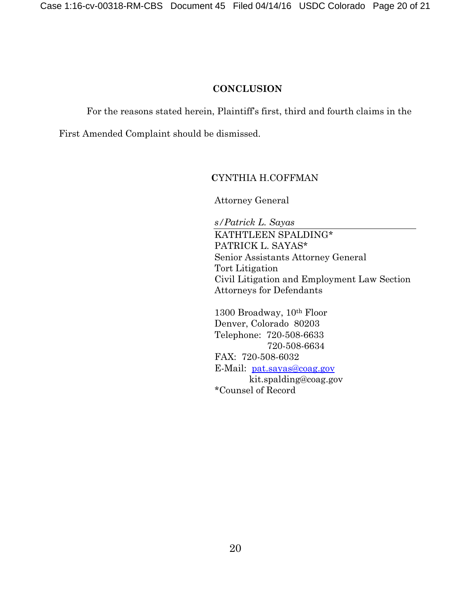## **CONCLUSION**

For the reasons stated herein, Plaintiff's first, third and fourth claims in the

First Amended Complaint should be dismissed.

## **C**YNTHIA H.COFFMAN

Attorney General

*s/Patrick L. Sayas* KATHTLEEN SPALDING\* PATRICK L. SAYAS\* Senior Assistants Attorney General Tort Litigation Civil Litigation and Employment Law Section Attorneys for Defendants

1300 Broadway, 10th Floor Denver, Colorado 80203 Telephone: 720-508-6633 720-508-6634 FAX: 720-508-6032 E-Mail: [pat.sayas@coag.gov](mailto:pat.sayas@coag.gov) kit.spalding@coag.gov \*Counsel of Record